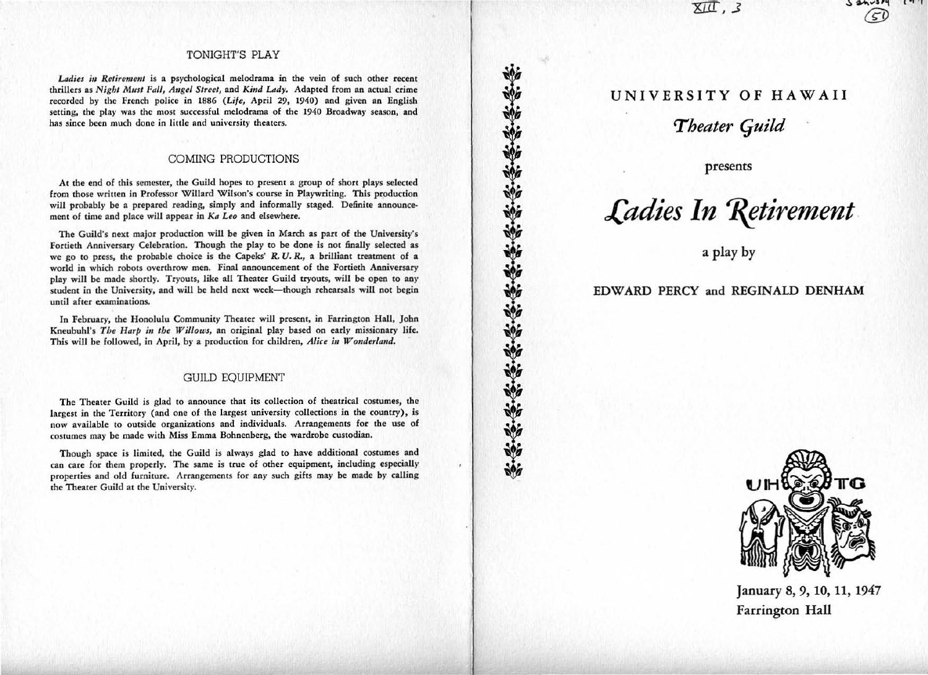$\overline{\text{XIT}}$ , 3

# $50$

### TONIGHT'S PLAY

Ladies in Retirement is a psychological melodrama in the vein of such other recent thrillers as *Night Must Fall, A11gel Street,* and *Kind Lady.* Adapted from an actual crime recorded by the French police in 1886 *(Life,* April *29,* 1940) and given an English setting, the play was the most successful melodrama of the 1940 Broadway season, and has since been much done in little and university theaters.

### COMING PRODUCTIONS

At the end of this semester, the Guild hopes to present a group of short plays selected from those written in Professor Willard Wilson's course in Playwriting. This production will probably be a prepared reading, simply and informally staged. Definite announcement of time and place will appear in *Ka Leo* and elsewhere.

The Guild's next major production will be given in March as part of the University's Fonieth Anniversary Celebration. Though the play to be done is not finally selected as we go to press, the probable choice is the Capeks'  $R$ .  $U$ .  $R$ ., a brilliant treatment of a world in which robots overthrow men. Final announcement of the Fortieth Anniversary play will be made sbordy. Tryouts, like all Theater Guild tryouts, will be open to any student in the University, and will be held next week-though rehearsals will not begin until after examinations.

In February, the Honolulu Community Theater will present, in Farrington Hall, John Kneubuhl's *The Harp in the Willows*, an original play based on early missionary life. This will be followed, in April, by a production for children, *Alice in Wonder/and.* 

### GUILD EQUIPMENT

The Theater Guild is glad to announce that its collection of theatrical costumes, the largest in the Territory (and one of the largest university collections in the country) , is now available to outside organizations and individuals. Arrangements for the use of costumes may be made with Miss Emma Bohnenberg, the wardrobe custodian.

Though space is limited, the Guild is always glad to have additional costumes and can care for them properly. The same is true of other equipment, including especially properties and old furniture. Arrangements for any such gifts may be made by calling the Theater Guild at the University.

# UNIVERSITY OF HAWAII

**Theater Guild** 

presents



a play by

## EDWARD PERCY and REGINALD DENHAM

"你你的话说话说话说话说话说话



January 8, 9, 10, 11, 1947 Farrington Hall